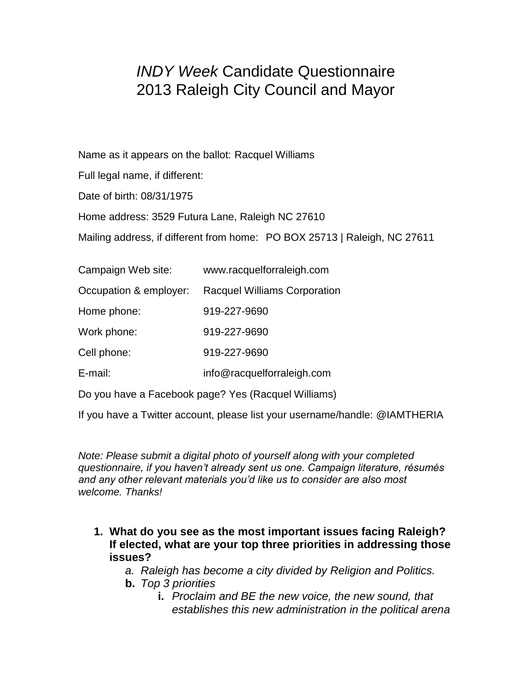# *INDY Week* Candidate Questionnaire 2013 Raleigh City Council and Mayor

Name as it appears on the ballot: Racquel Williams

Full legal name, if different:

Date of birth: 08/31/1975

Home address: 3529 Futura Lane, Raleigh NC 27610

Mailing address, if different from home: PO BOX 25713 | Raleigh, NC 27611

| Campaign Web site:                                  | www.racquelforraleigh.com           |
|-----------------------------------------------------|-------------------------------------|
| Occupation & employer:                              | <b>Racquel Williams Corporation</b> |
| Home phone:                                         | 919-227-9690                        |
| Work phone:                                         | 919-227-9690                        |
| Cell phone:                                         | 919-227-9690                        |
| E-mail:                                             | info@racquelforraleigh.com          |
| Do you have a Facebook page? Yes (Racquel Williams) |                                     |

If you have a Twitter account, please list your username/handle: @IAMTHERIA

*Note: Please submit a digital photo of yourself along with your completed questionnaire, if you haven't already sent us one. Campaign literature, résumés and any other relevant materials you'd like us to consider are also most welcome. Thanks!*

**1. What do you see as the most important issues facing Raleigh? If elected, what are your top three priorities in addressing those issues?**

*a. Raleigh has become a city divided by Religion and Politics.* 

- **b.** *Top 3 priorities*
	- **i.** *Proclaim and BE the new voice, the new sound, that establishes this new administration in the political arena*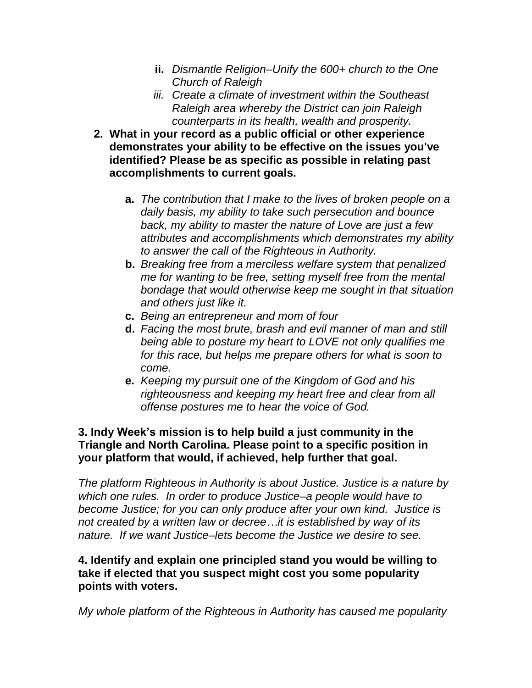- **ii.** *Dismantle Religion–Unify the 600+ church to the One Church of Raleigh*
- *iii. Create a climate of investment within the Southeast Raleigh area whereby the District can join Raleigh counterparts in its health, wealth and prosperity.*
- **2. What in your record as a public official or other experience demonstrates your ability to be effective on the issues you've identified? Please be as specific as possible in relating past accomplishments to current goals.**
	- **a.** *The contribution that I make to the lives of broken people on a daily basis, my ability to take such persecution and bounce back, my ability to master the nature of Love are just a few attributes and accomplishments which demonstrates my ability to answer the call of the Righteous in Authority.*
	- **b.** *Breaking free from a merciless welfare system that penalized me for wanting to be free, setting myself free from the mental bondage that would otherwise keep me sought in that situation and others just like it.*
	- **c.** *Being an entrepreneur and mom of four*
	- **d.** *Facing the most brute, brash and evil manner of man and still being able to posture my heart to LOVE not only qualifies me for this race, but helps me prepare others for what is soon to come.*
	- **e.** *Keeping my pursuit one of the Kingdom of God and his righteousness and keeping my heart free and clear from all offense postures me to hear the voice of God.*

# **3. Indy Week's mission is to help build a just community in the Triangle and North Carolina. Please point to a specific position in your platform that would, if achieved, help further that goal.**

*The platform Righteous in Authority is about Justice. Justice is a nature by which one rules. In order to produce Justice–a people would have to become Justice; for you can only produce after your own kind. Justice is not created by a written law or decree…it is established by way of its nature. If we want Justice–lets become the Justice we desire to see.* 

# **4. Identify and explain one principled stand you would be willing to take if elected that you suspect might cost you some popularity points with voters.**

*My whole platform of the Righteous in Authority has caused me popularity*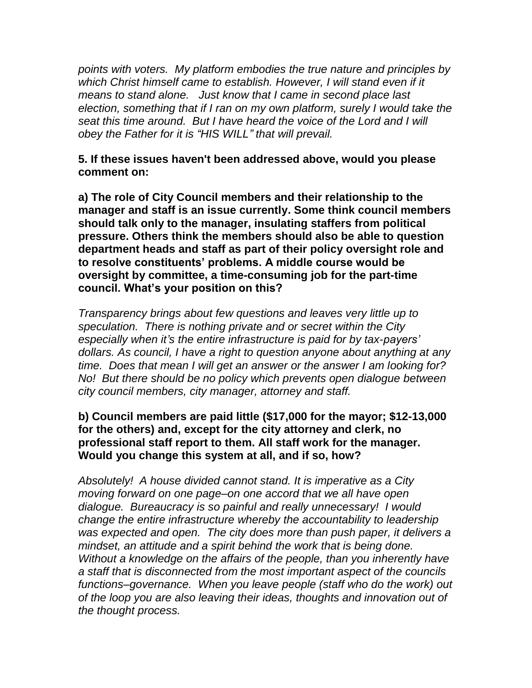*points with voters. My platform embodies the true nature and principles by which Christ himself came to establish. However, I will stand even if it means to stand alone. Just know that I came in second place last election, something that if I ran on my own platform, surely I would take the seat this time around. But I have heard the voice of the Lord and I will obey the Father for it is "HIS WILL" that will prevail.* 

# **5. If these issues haven't been addressed above, would you please comment on:**

**a) The role of City Council members and their relationship to the manager and staff is an issue currently. Some think council members should talk only to the manager, insulating staffers from political pressure. Others think the members should also be able to question department heads and staff as part of their policy oversight role and to resolve constituents' problems. A middle course would be oversight by committee, a time-consuming job for the part-time council. What's your position on this?**

*Transparency brings about few questions and leaves very little up to speculation. There is nothing private and or secret within the City especially when it's the entire infrastructure is paid for by tax-payers' dollars. As council, I have a right to question anyone about anything at any time. Does that mean I will get an answer or the answer I am looking for? No! But there should be no policy which prevents open dialogue between city council members, city manager, attorney and staff.* 

# **b) Council members are paid little (\$17,000 for the mayor; \$12-13,000 for the others) and, except for the city attorney and clerk, no professional staff report to them. All staff work for the manager. Would you change this system at all, and if so, how?**

*Absolutely! A house divided cannot stand. It is imperative as a City moving forward on one page–on one accord that we all have open dialogue. Bureaucracy is so painful and really unnecessary! I would change the entire infrastructure whereby the accountability to leadership was expected and open. The city does more than push paper, it delivers a mindset, an attitude and a spirit behind the work that is being done. Without a knowledge on the affairs of the people, than you inherently have a staff that is disconnected from the most important aspect of the councils functions–governance. When you leave people (staff who do the work) out of the loop you are also leaving their ideas, thoughts and innovation out of the thought process.*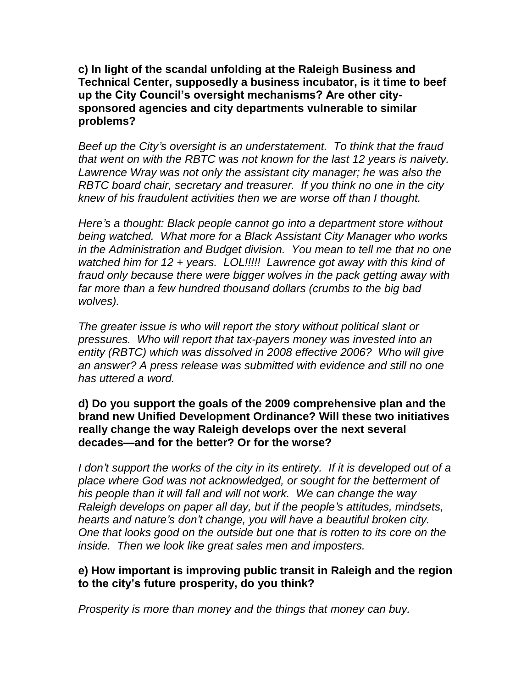**c) In light of the scandal unfolding at the Raleigh Business and Technical Center, supposedly a business incubator, is it time to beef up the City Council's oversight mechanisms? Are other citysponsored agencies and city departments vulnerable to similar problems?**

*Beef up the City's oversight is an understatement. To think that the fraud that went on with the RBTC was not known for the last 12 years is naivety. Lawrence Wray was not only the assistant city manager; he was also the RBTC board chair, secretary and treasurer. If you think no one in the city knew of his fraudulent activities then we are worse off than I thought.* 

*Here's a thought: Black people cannot go into a department store without being watched. What more for a Black Assistant City Manager who works in the Administration and Budget division. You mean to tell me that no one watched him for 12 + years. LOL!!!!! Lawrence got away with this kind of fraud only because there were bigger wolves in the pack getting away with far more than a few hundred thousand dollars (crumbs to the big bad wolves).* 

*The greater issue is who will report the story without political slant or pressures. Who will report that tax-payers money was invested into an entity (RBTC) which was dissolved in 2008 effective 2006? Who will give an answer? A press release was submitted with evidence and still no one has uttered a word.* 

### **d) Do you support the goals of the 2009 comprehensive plan and the brand new Unified Development Ordinance? Will these two initiatives really change the way Raleigh develops over the next several decades—and for the better? Or for the worse?**

*I don't support the works of the city in its entirety. If it is developed out of a place where God was not acknowledged, or sought for the betterment of his people than it will fall and will not work. We can change the way Raleigh develops on paper all day, but if the people's attitudes, mindsets, hearts and nature's don't change, you will have a beautiful broken city. One that looks good on the outside but one that is rotten to its core on the inside. Then we look like great sales men and imposters.* 

# **e) How important is improving public transit in Raleigh and the region to the city's future prosperity, do you think?**

*Prosperity is more than money and the things that money can buy.*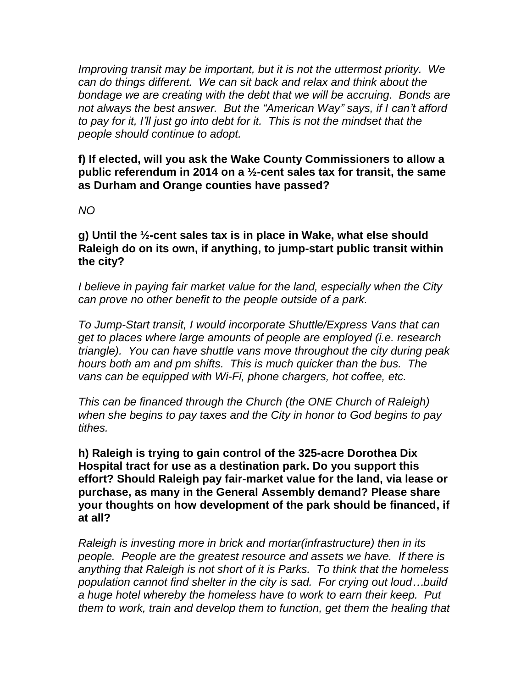*Improving transit may be important, but it is not the uttermost priority. We can do things different. We can sit back and relax and think about the bondage we are creating with the debt that we will be accruing. Bonds are not always the best answer. But the "American Way" says, if I can't afford to pay for it, I'll just go into debt for it. This is not the mindset that the people should continue to adopt.* 

**f) If elected, will you ask the Wake County Commissioners to allow a public referendum in 2014 on a ½-cent sales tax for transit, the same as Durham and Orange counties have passed?** 

#### *NO*

**g) Until the ½-cent sales tax is in place in Wake, what else should Raleigh do on its own, if anything, to jump-start public transit within the city?**

*I believe in paying fair market value for the land, especially when the City can prove no other benefit to the people outside of a park.*

*To Jump-Start transit, I would incorporate Shuttle/Express Vans that can get to places where large amounts of people are employed (i.e. research triangle). You can have shuttle vans move throughout the city during peak hours both am and pm shifts. This is much quicker than the bus. The*  vans can be equipped with Wi-Fi, phone chargers, hot coffee, etc.

*This can be financed through the Church (the ONE Church of Raleigh) when she begins to pay taxes and the City in honor to God begins to pay tithes.* 

**h) Raleigh is trying to gain control of the 325-acre Dorothea Dix Hospital tract for use as a destination park. Do you support this effort? Should Raleigh pay fair-market value for the land, via lease or purchase, as many in the General Assembly demand? Please share your thoughts on how development of the park should be financed, if at all?**

*Raleigh is investing more in brick and mortar(infrastructure) then in its people. People are the greatest resource and assets we have. If there is anything that Raleigh is not short of it is Parks. To think that the homeless population cannot find shelter in the city is sad. For crying out loud…build a huge hotel whereby the homeless have to work to earn their keep. Put them to work, train and develop them to function, get them the healing that*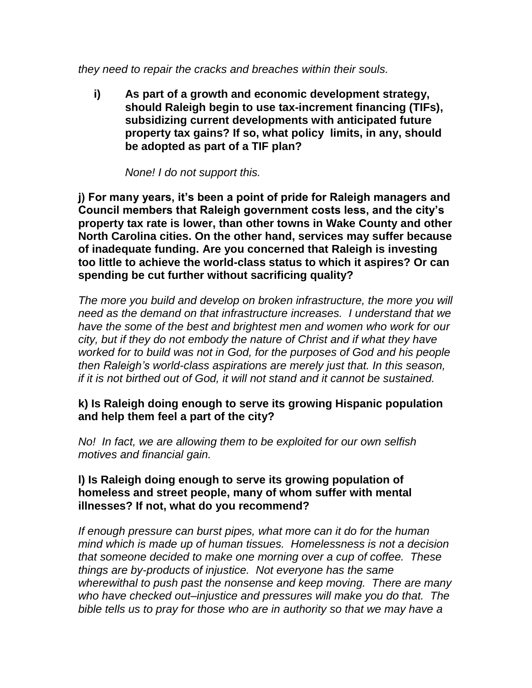*they need to repair the cracks and breaches within their souls.* 

**i) As part of a growth and economic development strategy, should Raleigh begin to use tax-increment financing (TIFs), subsidizing current developments with anticipated future property tax gains? If so, what policy limits, in any, should be adopted as part of a TIF plan?**

*None! I do not support this.*

**j) For many years, it's been a point of pride for Raleigh managers and Council members that Raleigh government costs less, and the city's property tax rate is lower, than other towns in Wake County and other North Carolina cities. On the other hand, services may suffer because of inadequate funding. Are you concerned that Raleigh is investing too little to achieve the world-class status to which it aspires? Or can spending be cut further without sacrificing quality?** 

*The more you build and develop on broken infrastructure, the more you will need as the demand on that infrastructure increases. I understand that we have the some of the best and brightest men and women who work for our city, but if they do not embody the nature of Christ and if what they have worked for to build was not in God, for the purposes of God and his people then Raleigh's world-class aspirations are merely just that. In this season, if it is not birthed out of God, it will not stand and it cannot be sustained.* 

# **k) Is Raleigh doing enough to serve its growing Hispanic population and help them feel a part of the city?**

*No! In fact, we are allowing them to be exploited for our own selfish motives and financial gain.*

# **l) Is Raleigh doing enough to serve its growing population of homeless and street people, many of whom suffer with mental illnesses? If not, what do you recommend?**

*If enough pressure can burst pipes, what more can it do for the human mind which is made up of human tissues. Homelessness is not a decision that someone decided to make one morning over a cup of coffee. These things are by-products of injustice. Not everyone has the same wherewithal to push past the nonsense and keep moving. There are many who have checked out–injustice and pressures will make you do that. The bible tells us to pray for those who are in authority so that we may have a*